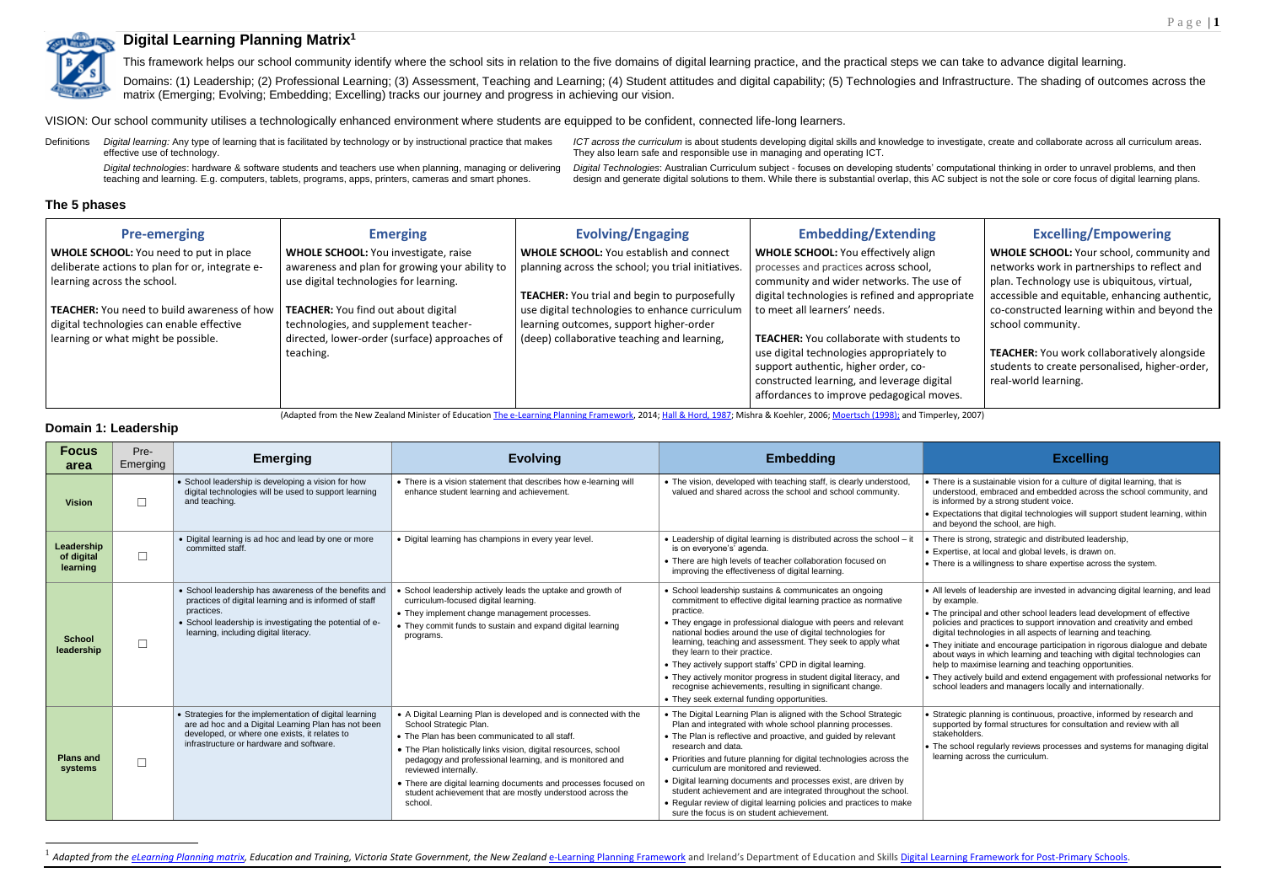This framework helps our school community identify where the school sits in relation to the five domains of digital learning practice, and the practical steps we can take to advance digital learning. Domains: (1) Leadership; (2) Professional Learning; (3) Assessment, Teaching and Learning; (4) Student attitudes and digital capability; (5) Technologies and Infrastructure. The shading of outcomes across the



# **Digital Learning Planning Matrix<sup>1</sup>**

matrix (Emerging; Evolving; Embedding; Excelling) tracks our journey and progress in achieving our vision.

VISION: Our school community utilises a technologically enhanced environment where students are equipped to be confident, connected life-long learners.

Definitions *Digital learning:* Any type of learning that is facilitated by technology or by instructional practice that makes effective use of technology. *ICT across the curriculum* is about students developing digital skills and knowledge to investigate, create and collaborate across all curriculum areas. *Digital technologies*: hardware & software students and teachers use when planning, managing or delivering teaching and learning. E.g. computers, tablets, programs, apps, printers, cameras and smart phones.

They also learn safe and responsible use in managing and operating ICT.

*Digital Technologies*: Australian Curriculum subject - focuses on developing students' computational thinking in order to unravel problems, and then design and generate digital solutions to them. While there is substantial overlap, this AC subject is not the sole or core focus of digital learning plans.

<sup>1</sup> Adapted from the <u>eLearning Planning matrix</u>, Education and Training, Victoria State Government, the New Zealand [e-Learning Planning Framework](https://elearning.tki.org.nz/Professional-learning/e-Learning-Planning-Framework) and Ireland's Department of Education and Skills Digital Learning Framework

**The 5 phases**

| <b>Pre-emerging</b>                                | <b>Emerging</b>                                | <b>Evolving/Engaging</b>                            | <b>Embedding/Extending</b>                       |
|----------------------------------------------------|------------------------------------------------|-----------------------------------------------------|--------------------------------------------------|
| <b>WHOLE SCHOOL:</b> You need to put in place      | <b>WHOLE SCHOOL:</b> You investigate, raise    | <b>WHOLE SCHOOL: You establish and connect</b>      | <b>WHOLE SCHOOL: You effectively align</b>       |
| deliberate actions to plan for or, integrate e-    | awareness and plan for growing your ability to | planning across the school; you trial initiatives.  | processes and practices across school,           |
| learning across the school.                        | use digital technologies for learning.         |                                                     | community and wider networks. The use of         |
|                                                    |                                                | <b>TEACHER:</b> You trial and begin to purposefully | digital technologies is refined and appropriate  |
| <b>TEACHER:</b> You need to build awareness of how | <b>TEACHER:</b> You find out about digital     | use digital technologies to enhance curriculum      | to meet all learners' needs.                     |
| digital technologies can enable effective          | technologies, and supplement teacher-          | learning outcomes, support higher-order             |                                                  |
| learning or what might be possible.                | directed, lower-order (surface) approaches of  | (deep) collaborative teaching and learning,         | <b>TEACHER:</b> You collaborate with students to |
|                                                    | teaching.                                      |                                                     | use digital technologies appropriately to        |
|                                                    |                                                |                                                     | support authentic, higher order, co-             |
|                                                    |                                                |                                                     | constructed learning, and leverage digital       |
|                                                    |                                                |                                                     | affordances to improve pedagogical moves.        |

|      | <b>Excelling/Empowering</b>                        |
|------|----------------------------------------------------|
|      | <b>WHOLE SCHOOL: Your school, community and</b>    |
| f    | networks work in partnerships to reflect and       |
|      | plan. Technology use is ubiquitous, virtual,       |
| iate | accessible and equitable, enhancing authentic,     |
|      | co-constructed learning within and beyond the      |
|      | school community.                                  |
|      |                                                    |
|      | <b>TEACHER:</b> You work collaboratively alongside |
|      | students to create personalised, higher-order,     |
|      | real-world learning.                               |
| s.   |                                                    |
|      |                                                    |

- is a sustainable vision for a culture of digital learning, that is stood, embraced and embedded across the school community, and irmed by a strong student voice.
- ctations that digital technologies will support student learning, within eyond the school, are high.
- is strong, strategic and distributed leadership,
- tise, at local and global levels, is drawn on.
- is a willingness to share expertise across the system.
- vels of leadership are invested in advancing digital learning, and lead ample
- rincipal and other school leaders lead development of effective es and practices to support innovation and creativity and embed I technologies in all aspects of learning and teaching.
- initiate and encourage participation in rigorous dialogue and debate ways in which learning and teaching with digital technologies can to maximise learning and teaching opportunities.
- actively build and extend engagement with professional networks for I leaders and managers locally and internationally.
- egic planning is continuous, proactive, informed by research and orted by formal structures for consultation and review with all holders.
- chool regularly reviews processes and systems for managing digital ng across the curriculum

(Adapted from the New Zealand Minister of Educatio[n The e-Learning Planning Framework,](https://elearning.tki.org.nz/Professional-learning/e-Learning-Planning-Framework) 2014[;](http://www.rmcdenver.com/useguide/cbam.htm) [Hall & Hord, 1987;](http://www.rmcdenver.com/useguide/cbam.htm) Mishra & Koehler, 200[6;](http://www.rmcdenver.com/useguide/cbam.htm) [Moertsch \(1998\);](http://www.rmcdenver.com/useguide/cbam.htm) and Timperley, 2007)

# **Domain 1: Leadership**

 $\overline{a}$ 

| <b>Focus</b><br>area                 | Pre-<br>Emerging | <b>Emerging</b>                                                                                                                                                                                                                    | <b>Evolving</b>                                                                                                                                                                                                                                                                                                                                                                                                                                | <b>Embedding</b>                                                                                                                                                                                                                                                                                                                                                                                                                                                                                                                                                                                                 | <b>Excelling</b>                                                                                                                                                                                                                                                                                                                                                                                                                                                                              |
|--------------------------------------|------------------|------------------------------------------------------------------------------------------------------------------------------------------------------------------------------------------------------------------------------------|------------------------------------------------------------------------------------------------------------------------------------------------------------------------------------------------------------------------------------------------------------------------------------------------------------------------------------------------------------------------------------------------------------------------------------------------|------------------------------------------------------------------------------------------------------------------------------------------------------------------------------------------------------------------------------------------------------------------------------------------------------------------------------------------------------------------------------------------------------------------------------------------------------------------------------------------------------------------------------------------------------------------------------------------------------------------|-----------------------------------------------------------------------------------------------------------------------------------------------------------------------------------------------------------------------------------------------------------------------------------------------------------------------------------------------------------------------------------------------------------------------------------------------------------------------------------------------|
| <b>Vision</b>                        | $\Box$           | • School leadership is developing a vision for how<br>digital technologies will be used to support learning<br>and teaching.                                                                                                       | • There is a vision statement that describes how e-learning will<br>enhance student learning and achievement.                                                                                                                                                                                                                                                                                                                                  | • The vision, developed with teaching staff, is clearly understood,<br>valued and shared across the school and school community.                                                                                                                                                                                                                                                                                                                                                                                                                                                                                 | There is a sustainable vision for a culture of dio<br>understood, embraced and embedded across<br>is informed by a strong student voice.<br>• Expectations that digital technologies will supp<br>and beyond the school, are high.                                                                                                                                                                                                                                                            |
| Leadership<br>of digital<br>learning | $\Box$           | • Digital learning is ad hoc and lead by one or more<br>committed staff.                                                                                                                                                           | • Digital learning has champions in every year level.                                                                                                                                                                                                                                                                                                                                                                                          | • Leadership of digital learning is distributed across the school - it<br>is on everyone's' agenda.<br>• There are high levels of teacher collaboration focused on<br>improving the effectiveness of digital learning.                                                                                                                                                                                                                                                                                                                                                                                           | There is strong, strategic and distributed leade<br>• Expertise, at local and global levels, is drawn o<br>$\cdot$ There is a willingness to share expertise acrose                                                                                                                                                                                                                                                                                                                           |
| <b>School</b><br>leadership          | $\Box$           | • School leadership has awareness of the benefits and<br>practices of digital learning and is informed of staff<br>practices.<br>• School leadership is investigating the potential of e-<br>learning, including digital literacy. | • School leadership actively leads the uptake and growth of<br>curriculum-focused digital learning.<br>• They implement change management processes.<br>• They commit funds to sustain and expand digital learning<br>programs.                                                                                                                                                                                                                | • School leadership sustains & communicates an ongoing<br>commitment to effective digital learning practice as normative<br>practice.<br>• They engage in professional dialogue with peers and relevant<br>national bodies around the use of digital technologies for<br>learning, teaching and assessment. They seek to apply what<br>they learn to their practice.<br>• They actively support staffs' CPD in digital learning.<br>• They actively monitor progress in student digital literacy, and<br>recognise achievements, resulting in significant change.<br>• They seek external funding opportunities. | • All levels of leadership are invested in advanci<br>by example.<br>• The principal and other school leaders lead de<br>policies and practices to support innovation an<br>digital technologies in all aspects of learning are<br>• They initiate and encourage participation in rigo<br>about ways in which learning and teaching with<br>help to maximise learning and teaching opport<br>• They actively build and extend engagement wi<br>school leaders and managers locally and interr |
| <b>Plans and</b><br>systems          | $\Box$           | • Strategies for the implementation of digital learning<br>are ad hoc and a Digital Learning Plan has not been<br>developed, or where one exists, it relates to<br>infrastructure or hardware and software.                        | • A Digital Learning Plan is developed and is connected with the<br>School Strategic Plan.<br>• The Plan has been communicated to all staff.<br>• The Plan holistically links vision, digital resources, school<br>pedagogy and professional learning, and is monitored and<br>reviewed internally.<br>• There are digital learning documents and processes focused on<br>student achievement that are mostly understood across the<br>school. | • The Digital Learning Plan is aligned with the School Strategic<br>Plan and integrated with whole school planning processes.<br>• The Plan is reflective and proactive, and quided by relevant<br>research and data.<br>• Priorities and future planning for digital technologies across the<br>curriculum are monitored and reviewed.<br>• Digital learning documents and processes exist, are driven by<br>student achievement and are integrated throughout the school.<br>• Regular review of digital learning policies and practices to make<br>sure the focus is on student achievement.                  | Strategic planning is continuous, proactive, info<br>supported by formal structures for consultation<br>stakeholders.<br>$\bullet$ The school regularly reviews processes and sy<br>learning across the curriculum.                                                                                                                                                                                                                                                                           |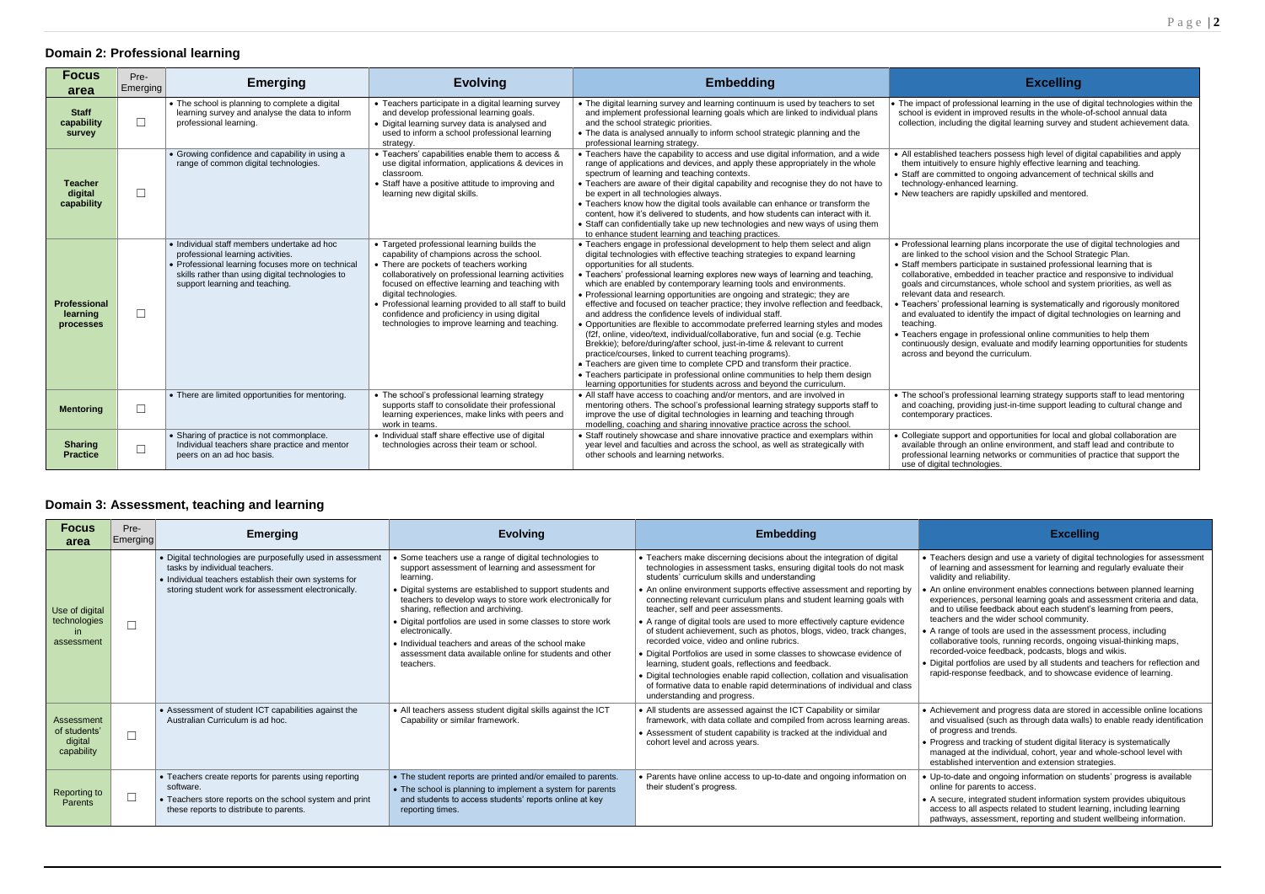ers design and use a variety of digital technologies for assessment of deeligit and assessment for learning and regularly evaluate their  $\nu$  and reliability.

ine environment enables connections between planned learning ences, personal learning goals and assessment criteria and data, utilise feedback about each student's learning from peers, rs and the wider school community.

e of tools are used in the assessment process, including prative tools, running records, ongoing visual-thinking maps, ed-voice feedback, podcasts, blogs and wikis.

portfolios are used by all students and teachers for reflection and esponse feedback, and to showcase evidence of learning.

ement and progress data are stored in accessible online locations ualised (such as through data walls) to enable ready identification gress and trends.

# **Domain 2: Professional learning**

| <b>Focus</b><br>area                         | Pre-<br>Emerging | <b>Emerging</b>                                                                                                                                                                                                             | <b>Evolving</b>                                                                                                                                                                                                                                                                                                                                                                                                                    | <b>Embedding</b>                                                                                                                                                                                                                                                                                                                                                                                                                                                                                                                                                                                                                                                                                                                                                                                                                                                                                                                                                                                                                                                                                                                  | <b>Excelling</b>                                                                                                                                                                                                                                                                                                                                                                                                                                                                                                                                                                                                                                                                                                                                                                       |
|----------------------------------------------|------------------|-----------------------------------------------------------------------------------------------------------------------------------------------------------------------------------------------------------------------------|------------------------------------------------------------------------------------------------------------------------------------------------------------------------------------------------------------------------------------------------------------------------------------------------------------------------------------------------------------------------------------------------------------------------------------|-----------------------------------------------------------------------------------------------------------------------------------------------------------------------------------------------------------------------------------------------------------------------------------------------------------------------------------------------------------------------------------------------------------------------------------------------------------------------------------------------------------------------------------------------------------------------------------------------------------------------------------------------------------------------------------------------------------------------------------------------------------------------------------------------------------------------------------------------------------------------------------------------------------------------------------------------------------------------------------------------------------------------------------------------------------------------------------------------------------------------------------|----------------------------------------------------------------------------------------------------------------------------------------------------------------------------------------------------------------------------------------------------------------------------------------------------------------------------------------------------------------------------------------------------------------------------------------------------------------------------------------------------------------------------------------------------------------------------------------------------------------------------------------------------------------------------------------------------------------------------------------------------------------------------------------|
| <b>Staff</b><br>capability<br>survey         | $\Box$           | • The school is planning to complete a digital<br>learning survey and analyse the data to inform<br>professional learning.                                                                                                  | • Teachers participate in a digital learning survey<br>and develop professional learning goals.<br>• Digital learning survey data is analysed and<br>used to inform a school professional learning<br>strategy.                                                                                                                                                                                                                    | • The digital learning survey and learning continuum is used by teachers to set<br>and implement professional learning goals which are linked to individual plans<br>and the school strategic priorities.<br>• The data is analysed annually to inform school strategic planning and the<br>professional learning strategy.                                                                                                                                                                                                                                                                                                                                                                                                                                                                                                                                                                                                                                                                                                                                                                                                       | • The impact of professional learning in the use of digital technologies within the<br>school is evident in improved results in the whole-of-school annual data<br>collection, including the digital learning survey and student achievement data.                                                                                                                                                                                                                                                                                                                                                                                                                                                                                                                                     |
| <b>Teacher</b><br>digital<br>capability      | $\Box$           | • Growing confidence and capability in using a<br>range of common digital technologies.                                                                                                                                     | • Teachers' capabilities enable them to access &<br>use digital information, applications & devices in<br>classroom.<br>• Staff have a positive attitude to improving and<br>learning new digital skills.                                                                                                                                                                                                                          | • Teachers have the capability to access and use digital information, and a wide<br>range of applications and devices, and apply these appropriately in the whole<br>spectrum of learning and teaching contexts.<br>• Teachers are aware of their digital capability and recognise they do not have to<br>be expert in all technologies always.<br>• Teachers know how the digital tools available can enhance or transform the<br>content, how it's delivered to students, and how students can interact with it.<br>• Staff can confidentially take up new technologies and new ways of using them<br>to enhance student learning and teaching practices.                                                                                                                                                                                                                                                                                                                                                                                                                                                                       | • All established teachers possess high level of digital capabilities and apply<br>them intuitively to ensure highly effective learning and teaching.<br>• Staff are committed to ongoing advancement of technical skills and<br>technology-enhanced learning.<br>• New teachers are rapidly upskilled and mentored.                                                                                                                                                                                                                                                                                                                                                                                                                                                                   |
| <b>Professional</b><br>learning<br>processes | $\Box$           | • Individual staff members undertake ad hoc<br>professional learning activities.<br>• Professional learning focuses more on technical<br>skills rather than using digital technologies to<br>support learning and teaching. | • Targeted professional learning builds the<br>capability of champions across the school.<br>• There are pockets of teachers working<br>collaboratively on professional learning activities<br>focused on effective learning and teaching with<br>digital technologies.<br>• Professional learning provided to all staff to build<br>confidence and proficiency in using digital<br>technologies to improve learning and teaching. | • Teachers engage in professional development to help them select and align<br>digital technologies with effective teaching strategies to expand learning<br>opportunities for all students.<br>• Teachers' professional learning explores new ways of learning and teaching.<br>which are enabled by contemporary learning tools and environments.<br>• Professional learning opportunities are ongoing and strategic; they are<br>effective and focused on teacher practice; they involve reflection and feedback,<br>and address the confidence levels of individual staff.<br>• Opportunities are flexible to accommodate preferred learning styles and modes<br>(f2f, online, video/text, individual/collaborative, fun and social (e.g. Techie)<br>Brekkie); before/during/after school, just-in-time & relevant to current<br>practice/courses, linked to current teaching programs).<br>• Teachers are given time to complete CPD and transform their practice.<br>• Teachers participate in professional online communities to help them design<br>learning opportunities for students across and beyond the curriculum. | • Professional learning plans incorporate the use of digital technologies and<br>are linked to the school vision and the School Strategic Plan.<br>• Staff members participate in sustained professional learning that is<br>collaborative, embedded in teacher practice and responsive to individual<br>goals and circumstances, whole school and system priorities, as well as<br>relevant data and research.<br>• Teachers' professional learning is systematically and rigorously monitored<br>and evaluated to identify the impact of digital technologies on learning and<br>teaching.<br>• Teachers engage in professional online communities to help them<br>continuously design, evaluate and modify learning opportunities for students<br>across and beyond the curriculum. |
| <b>Mentoring</b>                             | $\Box$           | • There are limited opportunities for mentoring.                                                                                                                                                                            | • The school's professional learning strategy<br>supports staff to consolidate their professional<br>learning experiences, make links with peers and<br>work in teams.                                                                                                                                                                                                                                                             | • All staff have access to coaching and/or mentors, and are involved in<br>mentoring others. The school's professional learning strategy supports staff to<br>improve the use of digital technologies in learning and teaching through<br>modelling, coaching and sharing innovative practice across the school.                                                                                                                                                                                                                                                                                                                                                                                                                                                                                                                                                                                                                                                                                                                                                                                                                  | • The school's professional learning strategy supports staff to lead mentoring<br>and coaching, providing just-in-time support leading to cultural change and<br>contemporary practices.                                                                                                                                                                                                                                                                                                                                                                                                                                                                                                                                                                                               |
| <b>Sharing</b><br><b>Practice</b>            | $\Box$           | • Sharing of practice is not commonplace.<br>Individual teachers share practice and mentor<br>peers on an ad hoc basis.                                                                                                     | · Individual staff share effective use of digital<br>technologies across their team or school.                                                                                                                                                                                                                                                                                                                                     | • Staff routinely showcase and share innovative practice and exemplars within<br>year level and faculties and across the school, as well as strategically with<br>other schools and learning networks.                                                                                                                                                                                                                                                                                                                                                                                                                                                                                                                                                                                                                                                                                                                                                                                                                                                                                                                            | • Collegiate support and opportunities for local and global collaboration are<br>available through an online environment, and staff lead and contribute to<br>professional learning networks or communities of practice that support the<br>use of digital technologies.                                                                                                                                                                                                                                                                                                                                                                                                                                                                                                               |
|                                              |                  |                                                                                                                                                                                                                             |                                                                                                                                                                                                                                                                                                                                                                                                                                    |                                                                                                                                                                                                                                                                                                                                                                                                                                                                                                                                                                                                                                                                                                                                                                                                                                                                                                                                                                                                                                                                                                                                   |                                                                                                                                                                                                                                                                                                                                                                                                                                                                                                                                                                                                                                                                                                                                                                                        |

• Progress and tracking of student digital literacy is systematically managed at the individual, cohort, year and whole-school level with shed intervention and extension strategies.

> date and ongoing information on students' progress is available for parents to access.

rre, integrated student information system provides ubiquitous access to all aspects related to student learning, including learning lys, assessment, reporting and student wellbeing information.

# **Domain 3: Assessment, teaching and learning**

| <b>Focus</b><br>area                                | Pre-<br>Emerging | <b>Emerging</b>                                                                                                                                                                                             | <b>Evolving</b>                                                                                                                                                                                                                                                                                                                                                                                                                                                                                          | <b>Embedding</b>                                                                                                                                                                                                                                                                                                                                                                                                                                                                                                                                                                                                                                                                                                                                                                                                                                                                                                  | <b>Excelling</b>                                                                                                                                                                                                                                                                                                                                                                                                                                                                                                                                                              |
|-----------------------------------------------------|------------------|-------------------------------------------------------------------------------------------------------------------------------------------------------------------------------------------------------------|----------------------------------------------------------------------------------------------------------------------------------------------------------------------------------------------------------------------------------------------------------------------------------------------------------------------------------------------------------------------------------------------------------------------------------------------------------------------------------------------------------|-------------------------------------------------------------------------------------------------------------------------------------------------------------------------------------------------------------------------------------------------------------------------------------------------------------------------------------------------------------------------------------------------------------------------------------------------------------------------------------------------------------------------------------------------------------------------------------------------------------------------------------------------------------------------------------------------------------------------------------------------------------------------------------------------------------------------------------------------------------------------------------------------------------------|-------------------------------------------------------------------------------------------------------------------------------------------------------------------------------------------------------------------------------------------------------------------------------------------------------------------------------------------------------------------------------------------------------------------------------------------------------------------------------------------------------------------------------------------------------------------------------|
| Use of digital<br>technologies<br>in.<br>assessment |                  | • Digital technologies are purposefully used in assessment<br>tasks by individual teachers.<br>. Individual teachers establish their own systems for<br>storing student work for assessment electronically. | • Some teachers use a range of digital technologies to<br>support assessment of learning and assessment for<br>learning.<br>• Digital systems are established to support students and<br>teachers to develop ways to store work electronically for<br>sharing, reflection and archiving.<br>• Digital portfolios are used in some classes to store work<br>electronically.<br>• Individual teachers and areas of the school make<br>assessment data available online for students and other<br>teachers. | • Teachers make discerning decisions about the integration of digital<br>technologies in assessment tasks, ensuring digital tools do not mask<br>students' curriculum skills and understanding<br>• An online environment supports effective assessment and reporting by<br>connecting relevant curriculum plans and student learning goals with<br>teacher, self and peer assessments.<br>• A range of digital tools are used to more effectively capture evidence<br>of student achievement, such as photos, blogs, video, track changes,<br>recorded voice, video and online rubrics.<br>• Digital Portfolios are used in some classes to showcase evidence of<br>learning, student goals, reflections and feedback.<br>• Digital technologies enable rapid collection, collation and visualisation<br>of formative data to enable rapid determinations of individual and class<br>understanding and progress. | • Teachers design and use a variety of digital t<br>of learning and assessment for learning and<br>validity and reliability.<br>• An online environment enables connections I<br>experiences, personal learning goals and ass<br>and to utilise feedback about each student's<br>teachers and the wider school community.<br>• A range of tools are used in the assessment<br>collaborative tools, running records, ongoing<br>recorded-voice feedback, podcasts, blogs an<br>• Digital portfolios are used by all students and<br>rapid-response feedback, and to showcase e |
| Assessment<br>of students'<br>digital<br>capability | $\Box$           | • Assessment of student ICT capabilities against the<br>Australian Curriculum is ad hoc.                                                                                                                    | • All teachers assess student digital skills against the ICT<br>Capability or similar framework.                                                                                                                                                                                                                                                                                                                                                                                                         | • All students are assessed against the ICT Capability or similar<br>framework, with data collate and compiled from across learning areas.<br>• Assessment of student capability is tracked at the individual and<br>cohort level and across years.                                                                                                                                                                                                                                                                                                                                                                                                                                                                                                                                                                                                                                                               | • Achievement and progress data are stored in<br>and visualised (such as through data walls) to<br>of progress and trends.<br>• Progress and tracking of student digital litera<br>managed at the individual, cohort, year and v<br>established intervention and extension strate                                                                                                                                                                                                                                                                                             |
| Reporting to<br>Parents                             | $\Box$           | • Teachers create reports for parents using reporting<br>software.<br>• Teachers store reports on the school system and print<br>these reports to distribute to parents.                                    | • The student reports are printed and/or emailed to parents.<br>• The school is planning to implement a system for parents<br>and students to access students' reports online at key<br>reporting times.                                                                                                                                                                                                                                                                                                 | • Parents have online access to up-to-date and ongoing information on<br>their student's progress.                                                                                                                                                                                                                                                                                                                                                                                                                                                                                                                                                                                                                                                                                                                                                                                                                | • Up-to-date and ongoing information on stude<br>online for parents to access.<br>• A secure, integrated student information syst<br>access to all aspects related to student learn<br>pathways, assessment, reporting and studen                                                                                                                                                                                                                                                                                                                                             |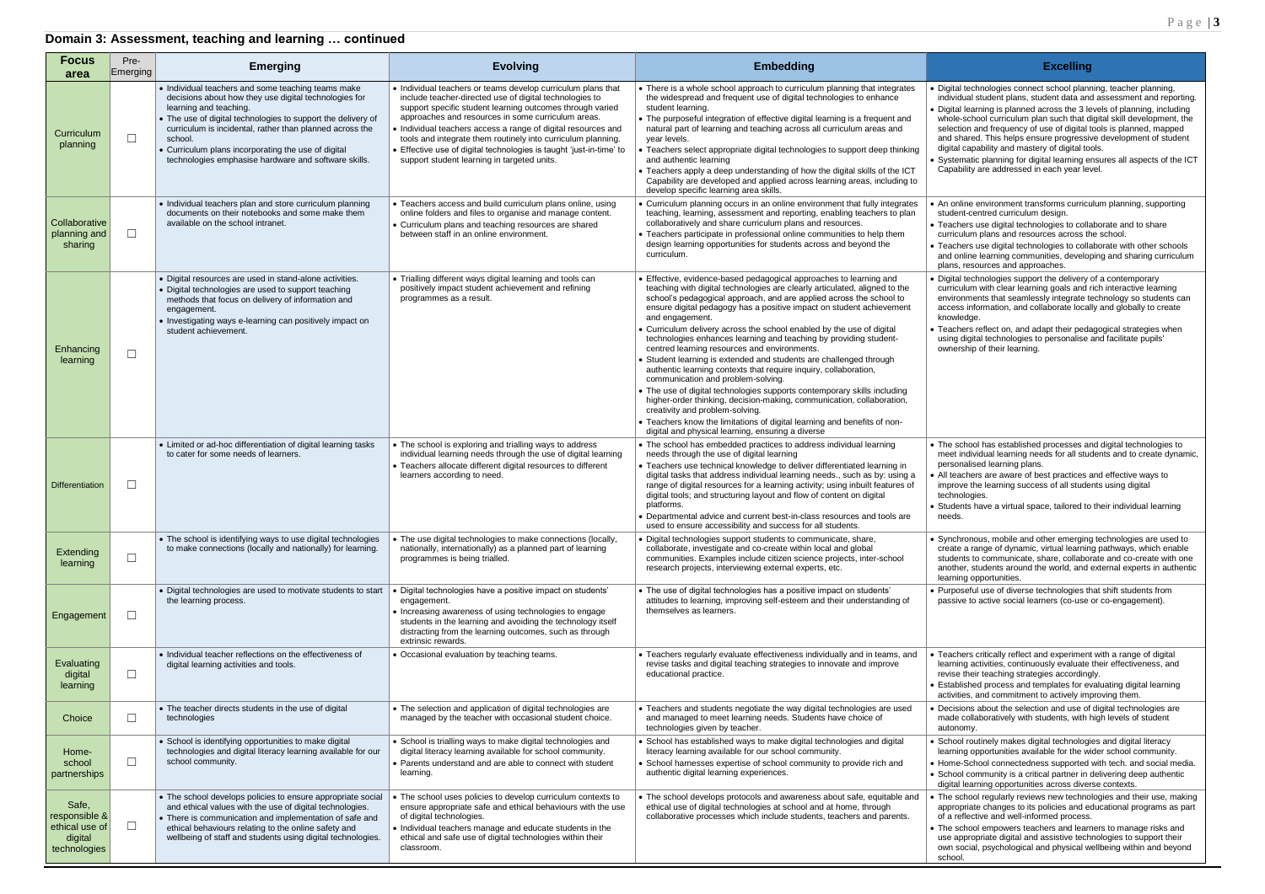# al technologies connect school planning, teacher planning, idual student plans, student data and assessment and reporting. al learning is planned across the 3 levels of planning, including e-school curriculum plan such that digital skill development, the tion and frequency of use of digital tools is planned, mapped shared. This helps ensure progressive development of student al capability and mastery of digital tools. ematic planning for digital learning ensures all aspects of the ICT ability are addressed in each year level. nline environment transforms curriculum planning, supporting ent-centred curriculum design. hers use digital technologies to collaborate and to share culum plans and resources across the school. hers use digital technologies to collaborate with other schools online learning communities, developing and sharing curriculum s, resources and approaches. al technologies support the delivery of a contemporary culum with clear learning goals and rich interactive learning onments that seamlessly integrate technology so students can ess information, and collaborate locally and globally to create ledge. hers reflect on, and adapt their pedagogical strategies when digital technologies to personalise and facilitate pupils' ership of their learning. school has established processes and digital technologies to individual learning needs for all students and to create dynamic, pnalised learning plans. achers are aware of best practices and effective ways to bye the learning success of all students using digital hologies. ents have a virtual space, tailored to their individual learning hronous, mobile and other emerging technologies are used to e a range of dynamic, virtual learning pathways, which enable ents to communicate, share, collaborate and co-create with one her, students around the world, and external experts in authentic ing opportunities. oseful use of diverse technologies that shift students from ive to active social learners (co-use or co-engagement). hers critically reflect and experiment with a range of digital ing activities, continuously evaluate their effectiveness, and **revise their teaching strategies accordingly.** blished process and templates for evaluating digital learning ities, and commitment to actively improving them. sions about the selection and use of digital technologies are e collaboratively with students, with high levels of student homy. ol routinely makes digital technologies and digital literacy ing opportunities available for the wider school community. e-School connectedness supported with tech. and social media. ol community is a critical partner in delivering deep authentic

al learning opportunities across diverse contexts. school regularly reviews new technologies and their use, making opriate changes to its policies and educational programs as part reflective and well-informed process.

school empowers teachers and learners to manage risks and appropriate digital and assistive technologies to support their social, psychological and physical wellbeing within and beyond ol.

| <b>Focus</b><br>area                                                | Pre-<br>Emerging | <b>Emerging</b>                                                                                                                                                                                                                                                                                                                                                                             | <b>Evolving</b>                                                                                                                                                                                                                                                                                                                                                                                                                                                                                   | <b>Embedding</b>                                                                                                                                                                                                                                                                                                                                                                                                                                                                                                                                                                                                                                                                                                                                                                                                                                                                                                                                                                                                          | <b>Excelling</b>                                                                                                                                                                                                                                                                                                                                                                                                               |
|---------------------------------------------------------------------|------------------|---------------------------------------------------------------------------------------------------------------------------------------------------------------------------------------------------------------------------------------------------------------------------------------------------------------------------------------------------------------------------------------------|---------------------------------------------------------------------------------------------------------------------------------------------------------------------------------------------------------------------------------------------------------------------------------------------------------------------------------------------------------------------------------------------------------------------------------------------------------------------------------------------------|---------------------------------------------------------------------------------------------------------------------------------------------------------------------------------------------------------------------------------------------------------------------------------------------------------------------------------------------------------------------------------------------------------------------------------------------------------------------------------------------------------------------------------------------------------------------------------------------------------------------------------------------------------------------------------------------------------------------------------------------------------------------------------------------------------------------------------------------------------------------------------------------------------------------------------------------------------------------------------------------------------------------------|--------------------------------------------------------------------------------------------------------------------------------------------------------------------------------------------------------------------------------------------------------------------------------------------------------------------------------------------------------------------------------------------------------------------------------|
| Curriculum<br>planning                                              | $\Box$           | • Individual teachers and some teaching teams make<br>decisions about how they use digital technologies for<br>learning and teaching.<br>• The use of digital technologies to support the delivery of<br>curriculum is incidental, rather than planned across the<br>school.<br>• Curriculum plans incorporating the use of digital<br>technologies emphasise hardware and software skills. | • Individual teachers or teams develop curriculum plans that<br>include teacher-directed use of digital technologies to<br>support specific student learning outcomes through varied<br>approaches and resources in some curriculum areas.<br>• Individual teachers access a range of digital resources and<br>tools and integrate them routinely into curriculum planning.<br>• Effective use of digital technologies is taught 'just-in-time' to<br>support student learning in targeted units. | • There is a whole school approach to curriculum planning that integrates<br>the widespread and frequent use of digital technologies to enhance<br>student learning.<br>• The purposeful integration of effective digital learning is a frequent and<br>natural part of learning and teaching across all curriculum areas and<br>year levels.<br>• Teachers select appropriate digital technologies to support deep thinking<br>and authentic learning<br>• Teachers apply a deep understanding of how the digital skills of the ICT<br>Capability are developed and applied across learning areas, including to<br>develop specific learning area skills.                                                                                                                                                                                                                                                                                                                                                                | · Digital technologies connect school plani<br>individual student plans, student data and<br>• Digital learning is planned across the 3 le<br>whole-school curriculum plan such that d<br>selection and frequency of use of digital t<br>and shared. This helps ensure progressiv<br>digital capability and mastery of digital to<br>• Systematic planning for digital learning e<br>Capability are addressed in each year lev |
| Collaborative<br>planning and<br>sharing                            | $\Box$           | • Individual teachers plan and store curriculum planning<br>documents on their notebooks and some make them<br>available on the school intranet.                                                                                                                                                                                                                                            | • Teachers access and build curriculum plans online, using<br>online folders and files to organise and manage content.<br>• Curriculum plans and teaching resources are shared<br>between staff in an online environment.                                                                                                                                                                                                                                                                         | • Curriculum planning occurs in an online environment that fully integrates<br>teaching, learning, assessment and reporting, enabling teachers to plan<br>collaboratively and share curriculum plans and resources.<br>• Teachers participate in professional online communities to help them<br>design learning opportunities for students across and beyond the<br>curriculum.                                                                                                                                                                                                                                                                                                                                                                                                                                                                                                                                                                                                                                          | • An online environment transforms curricu<br>student-centred curriculum design.<br>• Teachers use digital technologies to colla<br>curriculum plans and resources across th<br>• Teachers use digital technologies to colla<br>and online learning communities, develop<br>plans, resources and approaches.                                                                                                                   |
| Enhancing<br>learning                                               | $\Box$           | • Digital resources are used in stand-alone activities.<br>• Digital technologies are used to support teaching<br>methods that focus on delivery of information and<br>engagement.<br>• Investigating ways e-learning can positively impact on<br>student achievement.                                                                                                                      | • Trialling different ways digital learning and tools can<br>positively impact student achievement and refining<br>programmes as a result.                                                                                                                                                                                                                                                                                                                                                        | • Effective, evidence-based pedagogical approaches to learning and<br>teaching with digital technologies are clearly articulated, aligned to the<br>school's pedagogical approach, and are applied across the school to<br>ensure digital pedagogy has a positive impact on student achievement<br>and engagement.<br>• Curriculum delivery across the school enabled by the use of digital<br>technologies enhances learning and teaching by providing student-<br>centred learning resources and environments.<br>• Student learning is extended and students are challenged through<br>authentic learning contexts that require inquiry, collaboration,<br>communication and problem-solving.<br>• The use of digital technologies supports contemporary skills including<br>higher-order thinking, decision-making, communication, collaboration,<br>creativity and problem-solving.<br>• Teachers know the limitations of digital learning and benefits of non-<br>digital and physical learning, ensuring a diverse | • Digital technologies support the delivery<br>curriculum with clear learning goals and<br>environments that seamlessly integrate to<br>access information, and collaborate local<br>knowledge.<br>• Teachers reflect on, and adapt their peda<br>using digital technologies to personalise<br>ownership of their learning.                                                                                                    |
| Differentiation                                                     | $\Box$           | • Limited or ad-hoc differentiation of digital learning tasks<br>to cater for some needs of learners.                                                                                                                                                                                                                                                                                       | • The school is exploring and trialling ways to address<br>individual learning needs through the use of digital learning<br>• Teachers allocate different digital resources to different<br>learners according to need.                                                                                                                                                                                                                                                                           | • The school has embedded practices to address individual learning<br>needs through the use of digital learning<br>• Teachers use technical knowledge to deliver differentiated learning in<br>digital tasks that address individual learning needs., such as by: using a<br>range of digital resources for a learning activity; using inbuilt features of<br>digital tools; and structuring layout and flow of content on digital<br>platforms.<br>• Departmental advice and current best-in-class resources and tools are<br>used to ensure accessibility and success for all students.                                                                                                                                                                                                                                                                                                                                                                                                                                 | • The school has established processes are<br>meet individual learning needs for all stud<br>personalised learning plans.<br>• All teachers are aware of best practices a<br>improve the learning success of all stude<br>technologies.<br>• Students have a virtual space, tailored to<br>needs.                                                                                                                              |
| Extending<br>learning                                               | $\Box$           | • The school is identifying ways to use digital technologies<br>to make connections (locally and nationally) for learning.                                                                                                                                                                                                                                                                  | • The use digital technologies to make connections (locally<br>nationally, internationally) as a planned part of learning<br>programmes is being trialled.                                                                                                                                                                                                                                                                                                                                        | • Digital technologies support students to communicate, share,<br>collaborate, investigate and co-create within local and global<br>communities. Examples include citizen science projects, inter-school<br>research projects, interviewing external experts, etc.                                                                                                                                                                                                                                                                                                                                                                                                                                                                                                                                                                                                                                                                                                                                                        | · Synchronous, mobile and other emerging<br>create a range of dynamic, virtual learnin<br>students to communicate, share, collabor<br>another, students around the world, and<br>learning opportunities.                                                                                                                                                                                                                       |
| Engagement                                                          | $\Box$           | • Digital technologies are used to motivate students to start<br>the learning process.                                                                                                                                                                                                                                                                                                      | · Digital technologies have a positive impact on students'<br>engagement.<br>• Increasing awareness of using technologies to engage<br>students in the learning and avoiding the technology itself<br>distracting from the learning outcomes, such as through<br>extrinsic rewards.                                                                                                                                                                                                               | • The use of digital technologies has a positive impact on students'<br>attitudes to learning, improving self-esteem and their understanding of<br>themselves as learners.                                                                                                                                                                                                                                                                                                                                                                                                                                                                                                                                                                                                                                                                                                                                                                                                                                                | • Purposeful use of diverse technologies th<br>passive to active social learners (co-use                                                                                                                                                                                                                                                                                                                                       |
| Evaluating<br>digital<br>learning                                   | $\Box$           | • Individual teacher reflections on the effectiveness of<br>digital learning activities and tools.                                                                                                                                                                                                                                                                                          | • Occasional evaluation by teaching teams.                                                                                                                                                                                                                                                                                                                                                                                                                                                        | • Teachers regularly evaluate effectiveness individually and in teams, and<br>revise tasks and digital teaching strategies to innovate and improve<br>educational practice.                                                                                                                                                                                                                                                                                                                                                                                                                                                                                                                                                                                                                                                                                                                                                                                                                                               | • Teachers critically reflect and experiment<br>learning activities, continuously evaluate<br>revise their teaching strategies according<br>• Established process and templates for ev<br>activities, and commitment to actively imp                                                                                                                                                                                           |
| Choice                                                              | $\Box$           | • The teacher directs students in the use of digital<br>technologies                                                                                                                                                                                                                                                                                                                        | • The selection and application of digital technologies are<br>managed by the teacher with occasional student choice.                                                                                                                                                                                                                                                                                                                                                                             | • Teachers and students negotiate the way digital technologies are used<br>and managed to meet learning needs. Students have choice of<br>technologies given by teacher.                                                                                                                                                                                                                                                                                                                                                                                                                                                                                                                                                                                                                                                                                                                                                                                                                                                  | • Decisions about the selection and use of<br>made collaboratively with students, with I<br>autonomy.                                                                                                                                                                                                                                                                                                                          |
| Home-<br>school<br>partnerships                                     | $\Box$           | • School is identifying opportunities to make digital<br>technologies and digital literacy learning available for our<br>school community.                                                                                                                                                                                                                                                  | • School is trialling ways to make digital technologies and<br>digital literacy learning available for school community.<br>• Parents understand and are able to connect with student<br>learning.                                                                                                                                                                                                                                                                                                | • School has established ways to make digital technologies and digital<br>literacy learning available for our school community.<br>• School harnesses expertise of school community to provide rich and<br>authentic digital learning experiences.                                                                                                                                                                                                                                                                                                                                                                                                                                                                                                                                                                                                                                                                                                                                                                        | • School routinely makes digital technologi<br>learning opportunities available for the wi<br>• Home-School connectedness supported<br>• School community is a critical partner in<br>digital learning opportunities across diver                                                                                                                                                                                              |
| Safe,<br>responsible &<br>ethical use of<br>digital<br>technologies | $\Box$           | • The school develops policies to ensure appropriate social<br>and ethical values with the use of digital technologies.<br>• There is communication and implementation of safe and<br>ethical behaviours relating to the online safety and<br>wellbeing of staff and students using digital technologies.                                                                                   | • The school uses policies to develop curriculum contexts to<br>ensure appropriate safe and ethical behaviours with the use<br>of digital technologies.<br>• Individual teachers manage and educate students in the<br>ethical and safe use of digital technologies within their<br>classroom.                                                                                                                                                                                                    | • The school develops protocols and awareness about safe, equitable and<br>ethical use of digital technologies at school and at home, through<br>collaborative processes which include students, teachers and parents.                                                                                                                                                                                                                                                                                                                                                                                                                                                                                                                                                                                                                                                                                                                                                                                                    | • The school regularly reviews new techno<br>appropriate changes to its policies and e<br>of a reflective and well-informed process<br>• The school empowers teachers and learn<br>use appropriate digital and assistive tech<br>own social, psychological and physical w<br>school.                                                                                                                                           |